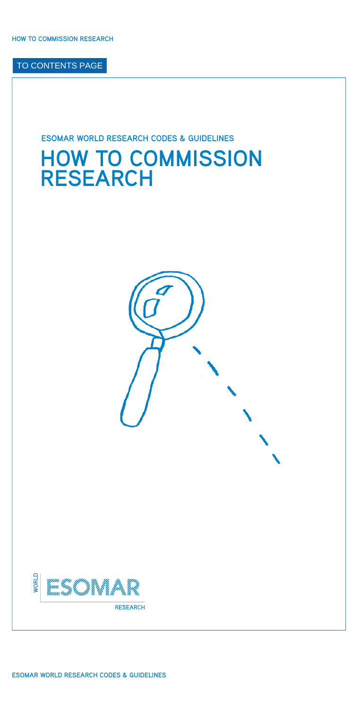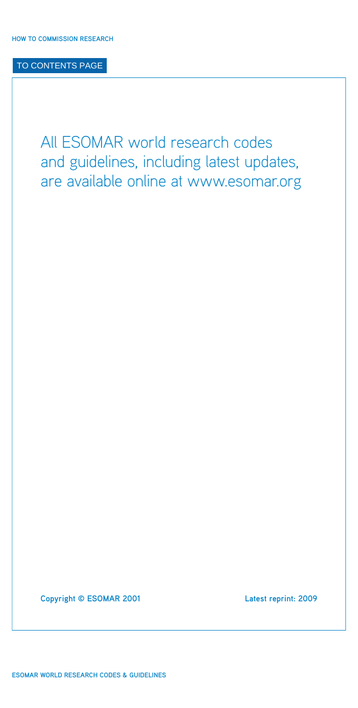All ESOMAR world research codes and guidelines, including latest updates, are available online at [www.esomar.org](http://www.esomar.org)

**Copyright © ESOMAR 2001 Latest reprint: 2009**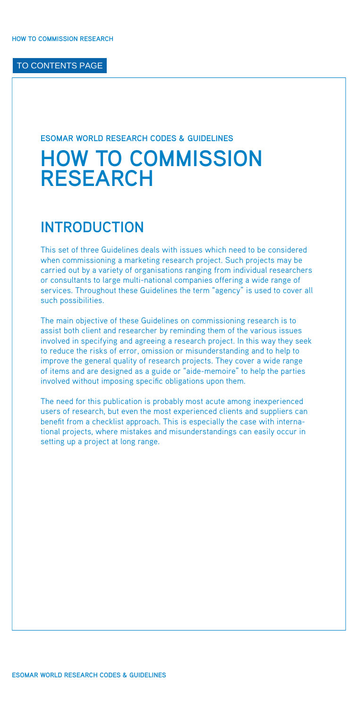#### **ESOMAR WORLD RESEARCH CODES & GUIDELINES**

# **HOW TO COMMISSION RESEARCH**

# **INTRODUCTION**

This set of three Guidelines deals with issues which need to be considered when commissioning a marketing research project. Such projects may be carried out by a variety of organisations ranging from individual researchers or consultants to large multi-national companies offering a wide range of services. Throughout these Guidelines the term "agency" is used to cover all such possibilities.

The main objective of these Guidelines on commissioning research is to assist both client and researcher by reminding them of the various issues involved in specifying and agreeing a research project. In this way they seek to reduce the risks of error, omission or misunderstanding and to help to improve the general quality of research projects. They cover a wide range of items and are designed as a guide or "aide-memoire" to help the parties involved without imposing specific obligations upon them.

The need for this publication is probably most acute among inexperienced users of research, but even the most experienced clients and suppliers can benefit from a checklist approach. This is especially the case with international projects, where mistakes and misunderstandings can easily occur in setting up a project at long range.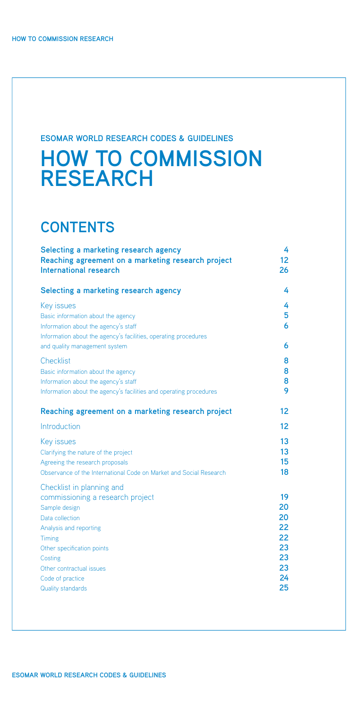# **ESOMAR WORLD RESEARCH CODES & GUIDELINES**

# **HOW TO COMMISSION RESEARCH**

# **CONTENTS**

| Selecting a marketing research agency<br>Reaching agreement on a marketing research project<br><b>International research</b> | 4<br>12 <sup>2</sup><br>26 |
|------------------------------------------------------------------------------------------------------------------------------|----------------------------|
| Selecting a marketing research agency                                                                                        | 4                          |
| Key issues                                                                                                                   | 4                          |
| Basic information about the agency                                                                                           | 5                          |
| Information about the agency's staff<br>Information about the agency's facilities, operating procedures                      | 6                          |
| and quality management system                                                                                                | 6                          |
| Checklist                                                                                                                    | 8                          |
| Basic information about the agency                                                                                           | 8                          |
| Information about the agency's staff                                                                                         | 8                          |
| Information about the agency's facilities and operating procedures                                                           | 9                          |
| Reaching agreement on a marketing research project                                                                           | 12                         |
| Introduction                                                                                                                 | 12                         |
| Key issues                                                                                                                   | 13                         |
| Clarifying the nature of the project                                                                                         | 13                         |
| Agreeing the research proposals                                                                                              | 15                         |
| Observance of the International Code on Market and Social Research                                                           | 18                         |
| Checklist in planning and                                                                                                    |                            |
| commissioning a research project<br>Sample design                                                                            | 19<br>20                   |
| Data collection                                                                                                              | 20                         |
| Analysis and reporting                                                                                                       | 22                         |
| Timing                                                                                                                       | 22                         |
| Other specification points                                                                                                   | 23                         |
| Costing<br>Other contractual issues                                                                                          | 23<br>23                   |
| Code of practice                                                                                                             | 24                         |
| Quality standards                                                                                                            | 25                         |
|                                                                                                                              |                            |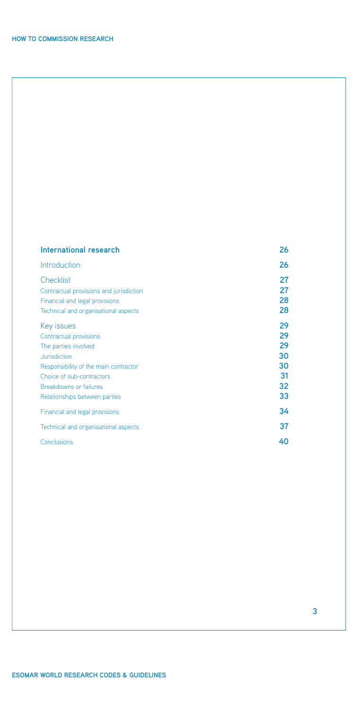| International research                                                    | 26       |
|---------------------------------------------------------------------------|----------|
| Introduction                                                              | 26       |
| Checklist                                                                 | 27<br>27 |
| Contractual provisions and jurisdiction<br>Financial and legal provisions | 28       |
| Technical and organisational aspects                                      | 28       |
| Key issues                                                                | 29       |
| Contractual provisions                                                    | 29       |
| The parties involved                                                      | 29       |
| Jurisdiction                                                              | 30       |
| Responsibility of the main contractor                                     | 30       |
| Choice of sub-contractors                                                 | 31       |
| <b>Breakdowns or failures</b>                                             | 32       |
| Relationships between parties                                             | 33       |
| Financial and legal provisions                                            | 34       |
| Technical and organisational aspects                                      | 37       |
| Conclusions                                                               | 40       |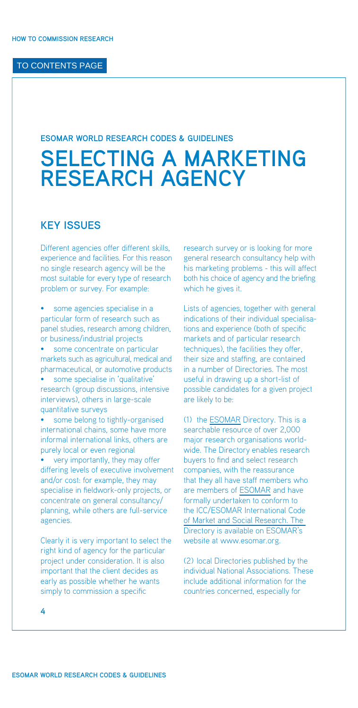# <span id="page-5-0"></span>**ESOMAR WORLD RESEARCH CODES & GUIDELINES**

# **SELECTING A MARKETING RESEARCH AGENCY**

# **KEY ISSUES**

Different agencies offer different skills, experience and facilities. For this reason no single research agency will be the most suitable for every type of research problem or survey. For example:

some agencies specialise in a particular form of research such as panel studies, research among children, or business/industrial projects some concentrate on particular

markets such as agricultural, medical and pharmaceutical, or automotive products

• some specialise in 'qualitative' research (group discussions, intensive interviews), others in large-scale quantitative surveys

some belong to tightly-organised international chains, some have more informal international links, others are purely local or even regional

very importantly, they may offer differing levels of executive involvement and/or cost: for example, they may specialise in fieldwork-only projects, or concentrate on general consultancy/ planning, while others are full-service agencies.

Clearly it is very important to select the right kind of agency for the particular project under consideration. It is also important that the client decides as early as possible whether he wants simply to commission a specific

research survey or is looking for more general research consultancy help with his marketing problems - this will affect both his choice of agency and the briefing which he gives it.

Lists of agencies, together with general indications of their individual specialisations and experience (both of specific markets and of particular research techniques), the facilities they offer, their size and staffing, are contained in a number of Directories. The most useful in drawing up a short-list of possible candidates for a given project are likely to be:

(1) the [ESOMAR](http://www.esomar.org) Directory. This is a searchable resource of over 2,000 major research organisations worldwide. The Directory enables research buyers to find and select research companies, with the reassurance that they all have staff members who are members of [ESOMAR](http://www.esomar.org) and have formally undertaken to conform to [the ICC/ESOMAR International Code](http://www.esomar.org/uploads/pdf/professional-standards/ICCESOMAR_Code_English_.pdf)  of Market and Social Research. The Directory is available on ESOMAR's website at [www.esomar.org.](http://www.esomar.org)

(2) local Directories published by the individual National Associations. These include additional information for the countries concerned, especially for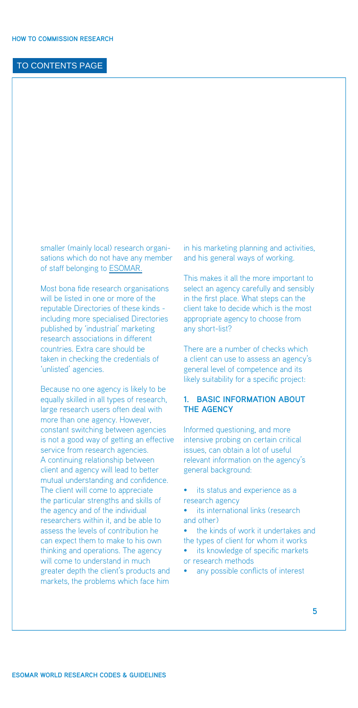<span id="page-6-0"></span>smaller (mainly local) research organisations which do not have any member of staff belonging to [ESOMAR.](http://www.esoomar.org)

Most bona fide research organisations will be listed in one or more of the reputable Directories of these kinds including more specialised Directories published by 'industrial' marketing research associations in different countries. Extra care should be taken in checking the credentials of 'unlisted' agencies.

Because no one agency is likely to be equally skilled in all types of research, large research users often deal with more than one agency. However, constant switching between agencies is not a good way of getting an effective service from research agencies. A continuing relationship between client and agency will lead to better mutual understanding and confidence. The client will come to appreciate the particular strengths and skills of the agency and of the individual researchers within it, and be able to assess the levels of contribution he can expect them to make to his own thinking and operations. The agency will come to understand in much greater depth the client's products and markets, the problems which face him

in his marketing planning and activities, and his general ways of working.

This makes it all the more important to select an agency carefully and sensibly in the first place. What steps can the client take to decide which is the most appropriate agency to choose from any short-list?

There are a number of checks which a client can use to assess an agency's general level of competence and its likely suitability for a specific project:

#### **1. Basic information about the agency**

Informed questioning, and more intensive probing on certain critical issues, can obtain a lot of useful relevant information on the agency's general background:

- its status and experience as a research agency
- its international links (research and other)
- the kinds of work it undertakes and the types of client for whom it works
- its knowledge of specific markets or research methods
- any possible conflicts of interest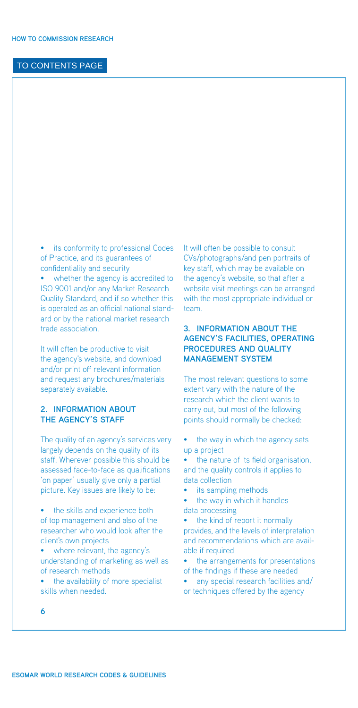<span id="page-7-1"></span><span id="page-7-0"></span>• its conformity to professional Codes of Practice, and its guarantees of confidentiality and security whether the agency is accredited to ISO 9001 and/or any Market Research Quality Standard, and if so whether this is operated as an official national standard or by the national market research trade association.

It will often be productive to visit the agency's website, and download and/or print off relevant information and request any brochures/materials separately available.

#### **2. Information about the agency's staff**

The quality of an agency's services very largely depends on the quality of its staff. Wherever possible this should be assessed face-to-face as qualifications 'on paper' usually give only a partial picture. Key issues are likely to be:

- the skills and experience both of top management and also of the researcher who would look after the client's own projects
- where relevant, the agency's understanding of marketing as well as of research methods
- the availability of more specialist skills when needed.

It will often be possible to consult CVs/photographs/and pen portraits of key staff, which may be available on the agency's website, so that after a website visit meetings can be arranged with the most appropriate individual or team.

#### **3. Information about the agency's facilities, operating procedures and quality management system**

The most relevant questions to some extent vary with the nature of the research which the client wants to carry out, but most of the following points should normally be checked:

- the way in which the agency sets up a project
- the nature of its field organisation. and the quality controls it applies to data collection
- its sampling methods
- the way in which it handles data processing
- the kind of report it normally provides, and the levels of interpretation and recommendations which are available if required
- the arrangements for presentations of the findings if these are needed
- any special research facilities and/ or techniques offered by the agency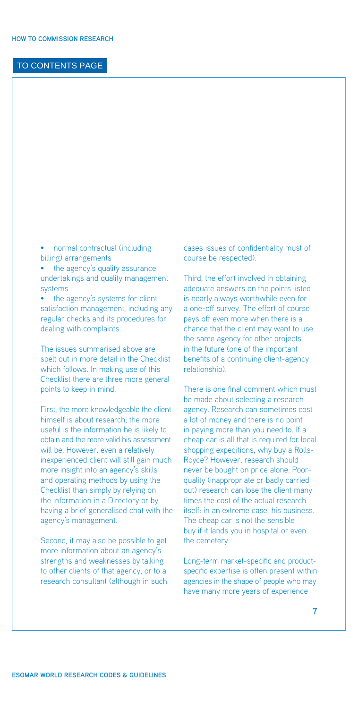• normal contractual (including billing) arrangements

• the agency's quality assurance undertakings and quality management systems

the agency's systems for client satisfaction management, including any regular checks and its procedures for dealing with complaints.

The issues summarised above are spelt out in more detail in the Checklist which follows. In making use of this Checklist there are three more general points to keep in mind.

First, the more knowledgeable the client himself is about research, the more useful is the information he is likely to obtain and the more valid his assessment will be. However, even a relatively inexperienced client will still gain much more insight into an agency's skills and operating methods by using the Checklist than simply by relying on the information in a Directory or by having a brief generalised chat with the agency's management.

Second, it may also be possible to get more information about an agency's strengths and weaknesses by talking to other clients of that agency, or to a research consultant (although in such cases issues of confidentiality must of course be respected).

Third, the effort involved in obtaining adequate answers on the points listed is nearly always worthwhile even for a one-off survey. The effort of course pays off even more when there is a chance that the client may want to use the same agency for other projects in the future (one of the important benefits of a continuing client-agency relationship).

There is one final comment which must be made about selecting a research agency. Research can sometimes cost a lot of money and there is no point in paying more than you need to. If a cheap car is all that is required for local shopping expeditions, why buy a Rolls-Royce? However, research should never be bought on price alone. Poorquality (inappropriate or badly carried out) research can lose the client many times the cost of the actual research itself: in an extreme case, his business. The cheap car is not the sensible buy if it lands you in hospital or even the cemetery.

Long-term market-specific and productspecific expertise is often present within agencies in the shape of people who may have many more years of experience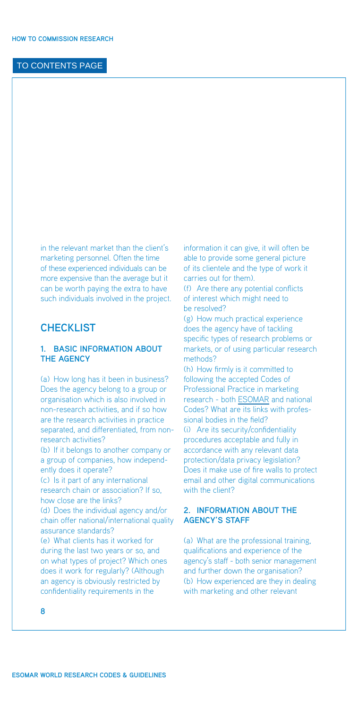<span id="page-9-0"></span>in the relevant market than the client's marketing personnel. Often the time of these experienced individuals can be more expensive than the average but it can be worth paying the extra to have such individuals involved in the project.

# **CHECKLIST**

#### **1. Basic information about the agency**

(a) How long has it been in business? Does the agency belong to a group or organisation which is also involved in non-research activities, and if so how are the research activities in practice separated, and differentiated, from nonresearch activities? (b) If it belongs to another company or a group of companies, how independently does it operate? (c) Is it part of any international research chain or association? If so, how close are the links? (d) Does the individual agency and/or chain offer national/international quality assurance standards? (e) What clients has it worked for during the last two years or so, and on what types of project? Which ones does it work for regularly? (Although an agency is obviously restricted by

information it can give, it will often be able to provide some general picture of its clientele and the type of work it carries out for them).

(f) Are there any potential conflicts of interest which might need to be resolved?

(g) How much practical experience does the agency have of tackling specific types of research problems or markets, or of using particular research methods?

(h) How firmly is it committed to following the accepted Codes of Professional Practice in marketing research - both [ESOMAR](http://www.esomar.org) and national Codes? What are its links with professional bodies in the field? (i) Are its security/confidentiality procedures acceptable and fully in accordance with any relevant data protection/data privacy legislation? Does it make use of fire walls to protect email and other digital communications with the client?

#### **2. Information about the agency's staff**

(a) What are the professional training, qualifications and experience of the agency's staff - both senior management and further down the organisation? (b) How experienced are they in dealing with marketing and other relevant

**8**

confidentiality requirements in the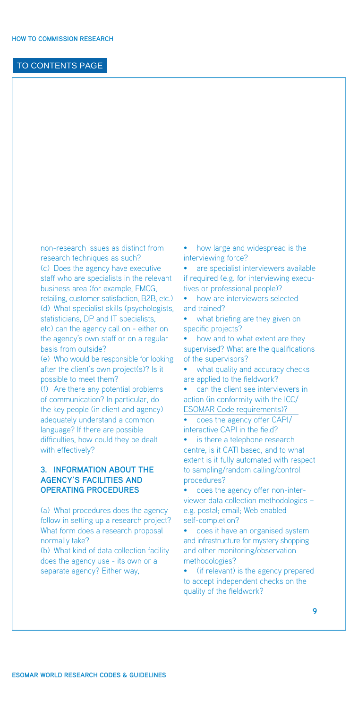<span id="page-10-0"></span>non-research issues as distinct from research techniques as such? (c) Does the agency have executive staff who are specialists in the relevant business area (for example, FMCG, retailing, customer satisfaction, B2B, etc.) (d) What specialist skills (psychologists, statisticians, DP and IT specialists, etc) can the agency call on - either on the agency's own staff or on a regular basis from outside?

(e) Who would be responsible for looking after the client's own project(s)? Is it possible to meet them?

(f) Are there any potential problems of communication? In particular, do the key people (in client and agency) adequately understand a common language? If there are possible difficulties, how could they be dealt with effectively?

#### **3. Information about the agency's facilities and operating procedures**

(a) What procedures does the agency follow in setting up a research project? What form does a research proposal normally take?

(b) What kind of data collection facility does the agency use - its own or a separate agency? Either way,

• how large and widespread is the interviewing force?

• are specialist interviewers available if required (e.g. for interviewing executives or professional people)?

• how are interviewers selected and trained?

• what briefing are they given on specific projects?

• how and to what extent are they supervised? What are the qualifications of the supervisors?

• what quality and accuracy checks are applied to the fieldwork?

• can the client see interviewers in [action \(in conformity with the ICC/](http://www.esomar.org/uploads/pdf/professional-standards/ICCESOMAR_Code_English_.pdf)  ESOMAR Code requirements)?

• does the agency offer CAPI/ interactive CAPI in the field?

• is there a telephone research centre, is it CATI based, and to what extent is it fully automated with respect to sampling/random calling/control procedures?

• does the agency offer non-interviewer data collection methodologies – e.g. postal; email; Web enabled self-completion?

• does it have an organised system and infrastructure for mystery shopping and other monitoring/observation methodologies?

(if relevant) is the agency prepared to accept independent checks on the quality of the fieldwork?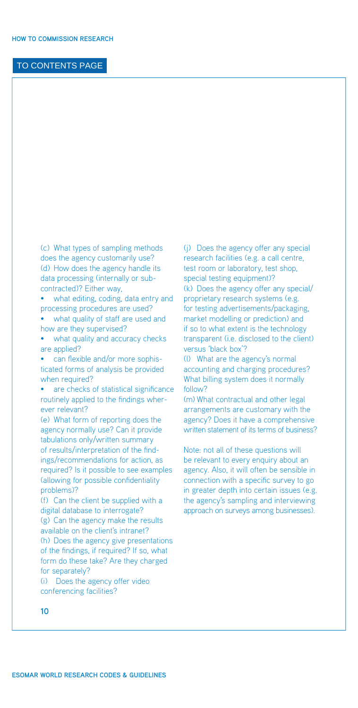(c) What types of sampling methods does the agency customarily use? (d) How does the agency handle its data processing (internally or subcontracted)? Either way,

what editing, coding, data entry and processing procedures are used?

• what quality of staff are used and how are they supervised?

• what quality and accuracy checks are applied?

• can flexible and/or more sophisticated forms of analysis be provided when required?

are checks of statistical significance routinely applied to the findings wherever relevant?

(e) What form of reporting does the agency normally use? Can it provide tabulations only/written summary of results/interpretation of the findings/recommendations for action, as required? Is it possible to see examples (allowing for possible confidentiality problems)?

(f) Can the client be supplied with a digital database to interrogate? (g) Can the agency make the results available on the client's intranet? (h) Does the agency give presentations of the findings, if required? If so, what form do these take? Are they charged for separately?

(i) Does the agency offer video conferencing facilities?

(j) Does the agency offer any special research facilities (e.g. a call centre, test room or laboratory, test shop, special testing equipment)? (k) Does the agency offer any special/ proprietary research systems (e.g. for testing advertisements/packaging, market modelling or prediction) and if so to what extent is the technology transparent (i.e. disclosed to the client) versus 'black box'?

(l) What are the agency's normal accounting and charging procedures? What billing system does it normally follow?

(m) What contractual and other legal arrangements are customary with the agency? Does it have a comprehensive written statement of its terms of business?

Note: not all of these questions will be relevant to every enquiry about an agency. Also, it will often be sensible in connection with a specific survey to go in greater depth into certain issues (e.g. the agency's sampling and interviewing approach on surveys among businesses).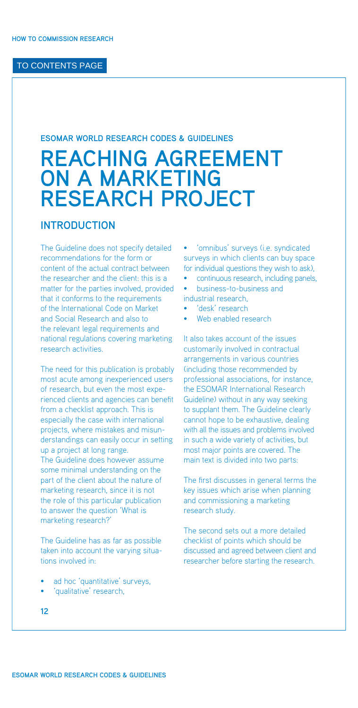#### <span id="page-13-0"></span>**ESOMAR WORLD RESEARCH CODES & GUIDELINES**

# **REACHING AGREEMENT ON A MARKETING RESEARCH PROJECT**

# **INTRODUCTION**

The Guideline does not specify detailed recommendations for the form or content of the actual contract between the researcher and the client: this is a matter for the parties involved, provided that it conforms to the requirements of the International Code on Market and Social Research and also to the relevant legal requirements and national regulations covering marketing research activities.

The need for this publication is probably most acute among inexperienced users of research, but even the most experienced clients and agencies can benefit from a checklist approach. This is especially the case with international projects, where mistakes and misunderstandings can easily occur in setting up a project at long range. The Guideline does however assume some minimal understanding on the part of the client about the nature of marketing research, since it is not the role of this particular publication to answer the question 'What is marketing research?'

The Guideline has as far as possible taken into account the varying situations involved in:

- ad hoc 'quantitative' surveys,
- 'qualitative' research,

• 'omnibus' surveys (i.e. syndicated surveys in which clients can buy space for individual questions they wish to ask),

- continuous research, including panels,
- business-to-business and
- industrial research,
- 'desk' research
- Web enabled research

It also takes account of the issues customarily involved in contractual arrangements in various countries (including those recommended by professional associations, for instance, the ESOMAR International Research Guideline) without in any way seeking to supplant them. The Guideline clearly cannot hope to be exhaustive, dealing with all the issues and problems involved in such a wide variety of activities, but most major points are covered. The main text is divided into two parts:

The first discusses in general terms the key issues which arise when planning and commissioning a marketing research study.

The second sets out a more detailed checklist of points which should be discussed and agreed between client and researcher before starting the research.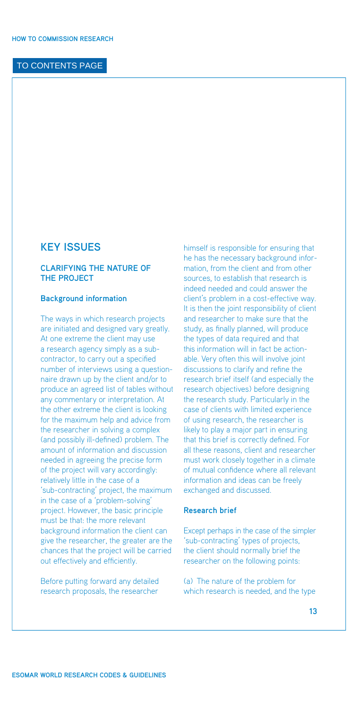#### <span id="page-14-0"></span>**KEY ISSUES**

#### **Clarifying the nature of the project**

#### **Background information**

The ways in which research projects are initiated and designed vary greatly. At one extreme the client may use a research agency simply as a subcontractor, to carry out a specified number of interviews using a questionnaire drawn up by the client and/or to produce an agreed list of tables without any commentary or interpretation. At the other extreme the client is looking for the maximum help and advice from the researcher in solving a complex (and possibly ill-defined) problem. The amount of information and discussion needed in agreeing the precise form of the project will vary accordingly: relatively little in the case of a 'sub-contracting' project, the maximum in the case of a 'problem-solving' project. However, the basic principle must be that: the more relevant background information the client can give the researcher, the greater are the chances that the project will be carried out effectively and efficiently.

Before putting forward any detailed research proposals, the researcher

himself is responsible for ensuring that he has the necessary background information, from the client and from other sources, to establish that research is indeed needed and could answer the client's problem in a cost-effective way. It is then the joint responsibility of client and researcher to make sure that the study, as finally planned, will produce the types of data required and that this information will in fact be actionable. Very often this will involve joint discussions to clarify and refine the research brief itself (and especially the research objectives) before designing the research study. Particularly in the case of clients with limited experience of using research, the researcher is likely to play a major part in ensuring that this brief is correctly defined. For all these reasons, client and researcher must work closely together in a climate of mutual confidence where all relevant information and ideas can be freely exchanged and discussed.

#### **Research brief**

Except perhaps in the case of the simpler 'sub-contracting' types of projects, the client should normally brief the researcher on the following points:

(a) The nature of the problem for which research is needed, and the type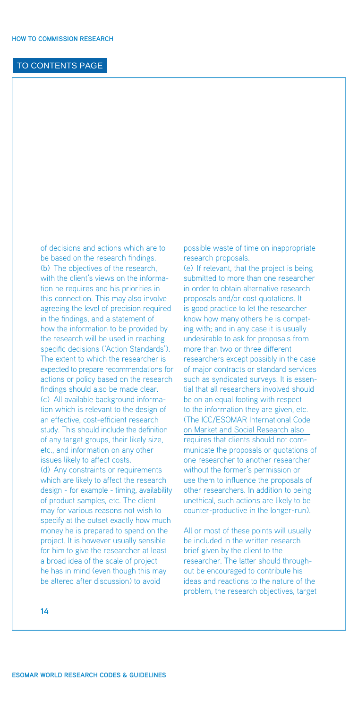of decisions and actions which are to be based on the research findings. (b) The objectives of the research, with the client's views on the information he requires and his priorities in this connection. This may also involve agreeing the level of precision required in the findings, and a statement of how the information to be provided by the research will be used in reaching specific decisions ('Action Standards'). The extent to which the researcher is expected to prepare recommendations for actions or policy based on the research findings should also be made clear. (c) All available background information which is relevant to the design of an effective, cost-efficient research study. This should include the definition of any target groups, their likely size, etc., and information on any other issues likely to affect costs. (d) Any constraints or requirements which are likely to affect the research design - for example - timing, availability of product samples, etc. The client may for various reasons not wish to specify at the outset exactly how much money he is prepared to spend on the project. It is however usually sensible for him to give the researcher at least a broad idea of the scale of project he has in mind (even though this may be altered after discussion) to avoid

possible waste of time on inappropriate research proposals.

(e) If relevant, that the project is being submitted to more than one researcher in order to obtain alternative research proposals and/or cost quotations. It is good practice to let the researcher know how many others he is competing with; and in any case it is usually undesirable to ask for proposals from more than two or three different researchers except possibly in the case of major contracts or standard services such as syndicated surveys. It is essential that all researchers involved should be on an equal footing with respect to the information they are given, etc. [\(The ICC/ESOMAR International Code](http://www.esomar.org/uploads/pdf/professional-standards/ICCESOMAR_Code_English_.pdf)  on Market and Social Research also requires that clients should not communicate the proposals or quotations of one researcher to another researcher without the former's permission or use them to influence the proposals of other researchers. In addition to being unethical, such actions are likely to be counter-productive in the longer-run).

All or most of these points will usually be included in the written research brief given by the client to the researcher. The latter should throughout be encouraged to contribute his ideas and reactions to the nature of the problem, the research objectives, target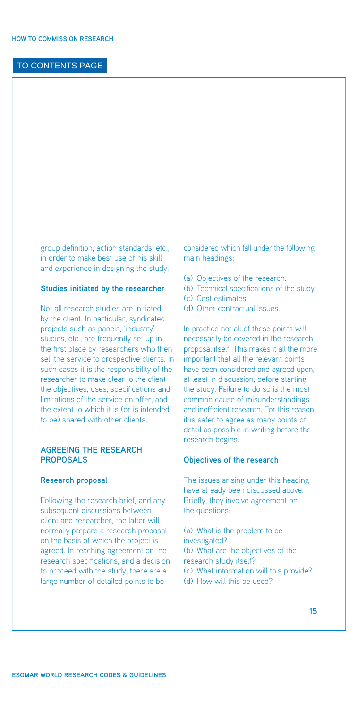<span id="page-16-0"></span>group definition, action standards, etc., in order to make best use of his skill and experience in designing the study.

#### **Studies initiated by the researcher**

Not all research studies are initiated by the client. In particular, syndicated projects such as panels, 'industry' studies, etc., are frequently set up in the first place by researchers who then sell the service to prospective clients. In such cases it is the responsibility of the researcher to make clear to the client the objectives, uses, specifications and limitations of the service on offer, and the extent to which it is (or is intended to be) shared with other clients.

#### **Agreeing the research proposals**

#### **Research proposal**

Following the research brief, and any subsequent discussions between client and researcher, the latter will normally prepare a research proposal on the basis of which the project is agreed. In reaching agreement on the research specifications, and a decision to proceed with the study, there are a large number of detailed points to be

considered which fall under the following main headings:

- (a) Objectives of the research.
- (b) Technical specifications of the study.
- (c) Cost estimates.
- (d) Other contractual issues.

In practice not all of these points will necessarily be covered in the research proposal itself. This makes it all the more important that all the relevant points have been considered and agreed upon, at least in discussion, before starting the study. Failure to do so is the most common cause of misunderstandings and inefficient research. For this reason it is safer to agree as many points of detail as possible in writing before the research begins.

#### **Objectives of the research**

The issues arising under this heading have already been discussed above. Briefly, they involve agreement on the questions:

(a) What is the problem to be investigated? (b) What are the objectives of the research study itself? (c) What information will this provide? (d) How will this be used?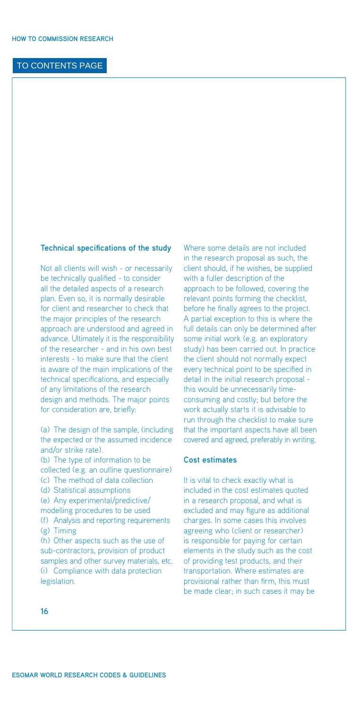#### **Technical specifications of the study**

Not all clients will wish - or necessarily be technically qualified - to consider all the detailed aspects of a research plan. Even so, it is normally desirable for client and researcher to check that the major principles of the research approach are understood and agreed in advance. Ultimately it is the responsibility of the researcher - and in his own best interests - to make sure that the client is aware of the main implications of the technical specifications, and especially of any limitations of the research design and methods. The major points for consideration are, briefly:

(a) The design of the sample, (including the expected or the assumed incidence and/or strike rate). (b) The type of information to be collected (e.g. an outline questionnaire) (c) The method of data collection (d) Statistical assumptions (e) Any experimental/predictive/ modelling procedures to be used (f) Analysis and reporting requirements (g) Timing (h) Other aspects such as the use of sub-contractors, provision of product samples and other survey materials, etc. (i) Compliance with data protection legislation.

Where some details are not included in the research proposal as such, the client should, if he wishes, be supplied with a fuller description of the approach to be followed, covering the relevant points forming the checklist, before he finally agrees to the project. A partial exception to this is where the full details can only be determined after some initial work (e.g. an exploratory study) has been carried out. In practice the client should not normally expect every technical point to be specified in detail in the initial research proposal this would be unnecessarily timeconsuming and costly; but before the work actually starts it is advisable to run through the checklist to make sure that the important aspects have all been covered and agreed, preferably in writing.

#### **Cost estimates**

It is vital to check exactly what is included in the cost estimates quoted in a research proposal, and what is excluded and may figure as additional charges. In some cases this involves agreeing who (client or researcher) is responsible for paying for certain elements in the study such as the cost of providing test products, and their transportation. Where estimates are provisional rather than firm, this must be made clear; in such cases it may be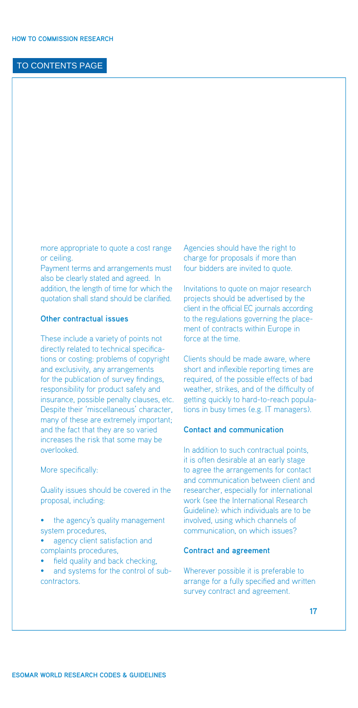<span id="page-18-0"></span>more appropriate to quote a cost range or ceiling.

Payment terms and arrangements must also be clearly stated and agreed. In addition, the length of time for which the quotation shall stand should be clarified.

#### **Other contractual issues**

These include a variety of points not directly related to technical specifications or costing: problems of copyright and exclusivity, any arrangements for the publication of survey findings, responsibility for product safety and insurance, possible penalty clauses, etc. Despite their 'miscellaneous' character, many of these are extremely important; and the fact that they are so varied increases the risk that some may be overlooked.

#### More specifically:

Quality issues should be covered in the proposal, including:

- the agency's quality management system procedures,
- agency client satisfaction and complaints procedures,
- field quality and back checking.
- and systems for the control of subcontractors.

Agencies should have the right to charge for proposals if more than four bidders are invited to quote.

Invitations to quote on major research projects should be advertised by the client in the official EC journals according to the regulations governing the placement of contracts within Europe in force at the time.

Clients should be made aware, where short and inflexible reporting times are required, of the possible effects of bad weather, strikes, and of the difficulty of getting quickly to hard-to-reach populations in busy times (e.g. IT managers).

#### **Contact and communication**

In addition to such contractual points, it is often desirable at an early stage to agree the arrangements for contact and communication between client and researcher, especially for international work (see the International Research Guideline): which individuals are to be involved, using which channels of communication, on which issues?

#### **Contract and agreement**

Wherever possible it is preferable to arrange for a fully specified and written survey contract and agreement.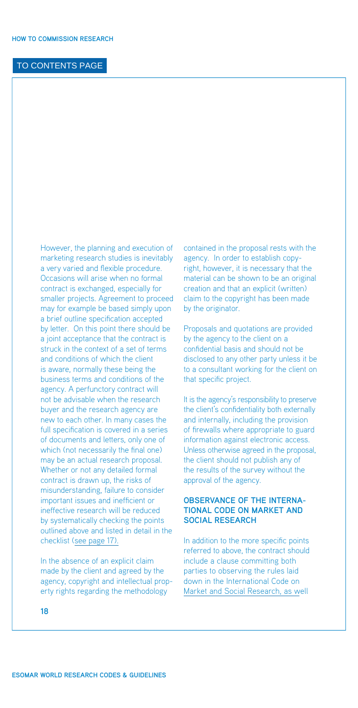<span id="page-19-0"></span>However, the planning and execution of marketing research studies is inevitably a very varied and flexible procedure. Occasions will arise when no formal contract is exchanged, especially for smaller projects. Agreement to proceed may for example be based simply upon a brief outline specification accepted by letter. On this point there should be a joint acceptance that the contract is struck in the context of a set of terms and conditions of which the client is aware, normally these being the business terms and conditions of the agency. A perfunctory contract will not be advisable when the research buyer and the research agency are new to each other. In many cases the full specification is covered in a series of documents and letters, only one of which (not necessarily the final one) may be an actual research proposal. Whether or not any detailed formal contract is drawn up, the risks of misunderstanding, failure to consider important issues and inefficient or ineffective research will be reduced by systematically checking the points outlined above and listed in detail in the checklist ([see page 17\).](#page-18-0)

In the absence of an explicit claim made by the client and agreed by the agency, copyright and intellectual property rights regarding the methodology

contained in the proposal rests with the agency. In order to establish copyright, however, it is necessary that the material can be shown to be an original creation and that an explicit (written) claim to the copyright has been made by the originator.

Proposals and quotations are provided by the agency to the client on a confidential basis and should not be disclosed to any other party unless it be to a consultant working for the client on that specific project.

It is the agency's responsibility to preserve the client's confidentiality both externally and internally, including the provision of firewalls where appropriate to guard information against electronic access. Unless otherwise agreed in the proposal, the client should not publish any of the results of the survey without the approval of the agency.

#### **Observance of the International Code on Market and Social Research**

In addition to the more specific points referred to above, the contract should include a clause committing both parties to observing the rules laid [down in the International Code on](http://www.esomar.org/uploads/pdf/professional-standards/ICCESOMAR_Code_English_.pdf)  Market and Social Research, as well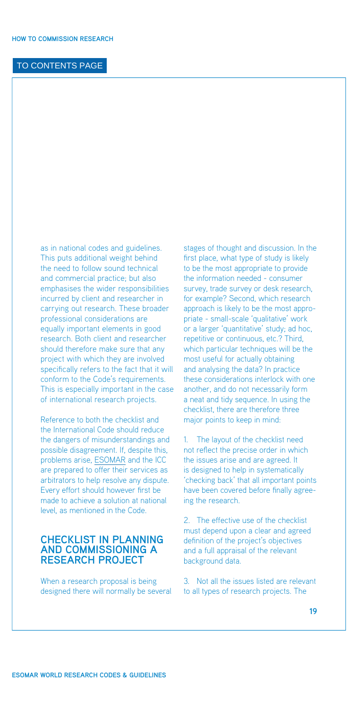<span id="page-20-0"></span>as in national codes and guidelines. This puts additional weight behind the need to follow sound technical and commercial practice; but also emphasises the wider responsibilities incurred by client and researcher in carrying out research. These broader professional considerations are equally important elements in good research. Both client and researcher should therefore make sure that any project with which they are involved specifically refers to the fact that it will conform to the Code's requirements. This is especially important in the case of international research projects.

Reference to both the checklist and the International Code should reduce the dangers of misunderstandings and possible disagreement. If, despite this, problems arise, [ESOMAR](http://www.esomar.org) and the ICC are prepared to offer their services as arbitrators to help resolve any dispute. Every effort should however first be made to achieve a solution at national level, as mentioned in the Code.

# **CHECKLIST IN PLANNING AND COMMISSIONING A RESEARCH PROJECT**

When a research proposal is being designed there will normally be several stages of thought and discussion. In the first place, what type of study is likely to be the most appropriate to provide the information needed - consumer survey, trade survey or desk research, for example? Second, which research approach is likely to be the most appropriate - small-scale 'qualitative' work or a larger 'quantitative' study; ad hoc, repetitive or continuous, etc.? Third, which particular techniques will be the most useful for actually obtaining and analysing the data? In practice these considerations interlock with one another, and do not necessarily form a neat and tidy sequence. In using the checklist, there are therefore three major points to keep in mind:

1. The layout of the checklist need not reflect the precise order in which the issues arise and are agreed. It is designed to help in systematically 'checking back' that all important points have been covered before finally agreeing the research.

2. The effective use of the checklist must depend upon a clear and agreed definition of the project's objectives and a full appraisal of the relevant background data.

3. Not all the issues listed are relevant to all types of research projects. The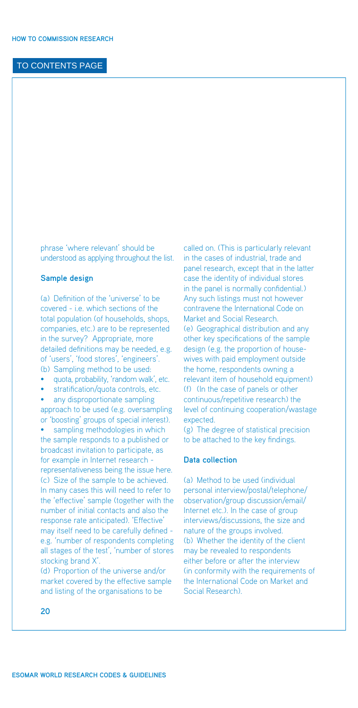<span id="page-21-0"></span>phrase 'where relevant' should be understood as applying throughout the list.

#### **Sample design**

(a) Definition of the 'universe' to be covered - i.e. which sections of the total population (of households, shops, companies, etc.) are to be represented in the survey? Appropriate, more detailed definitions may be needed, e.g. of 'users', 'food stores', 'engineers'. (b) Sampling method to be used:

- quota, probability, 'random walk', etc.
- stratification/quota controls, etc.

any disproportionate sampling approach to be used (e.g. oversampling or 'boosting' groups of special interest).

sampling methodologies in which the sample responds to a published or broadcast invitation to participate, as for example in Internet research representativeness being the issue here. (c) Size of the sample to be achieved. In many cases this will need to refer to the 'effective' sample (together with the number of initial contacts and also the response rate anticipated). 'Effective' may itself need to be carefully defined e.g. 'number of respondents completing all stages of the test', 'number of stores stocking brand X'.

(d) Proportion of the universe and/or market covered by the effective sample and listing of the organisations to be

called on. (This is particularly relevant in the cases of industrial, trade and panel research, except that in the latter case the identity of individual stores in the panel is normally confidential.) Any such listings must not however contravene the International Code on Market and Social Research. (e) Geographical distribution and any other key specifications of the sample design (e.g. the proportion of housewives with paid employment outside the home, respondents owning a relevant item of household equipment) (f) (In the case of panels or other continuous/repetitive research) the level of continuing cooperation/wastage expected.

(g) The degree of statistical precision to be attached to the key findings.

#### **Data collection**

(a) Method to be used (individual personal interview/postal/telephone/ observation/group discussion/email/ Internet etc.). In the case of group interviews/discussions, the size and nature of the groups involved. (b) Whether the identity of the client may be revealed to respondents either before or after the interview (in conformity with the requirements of the International Code on Market and Social Research).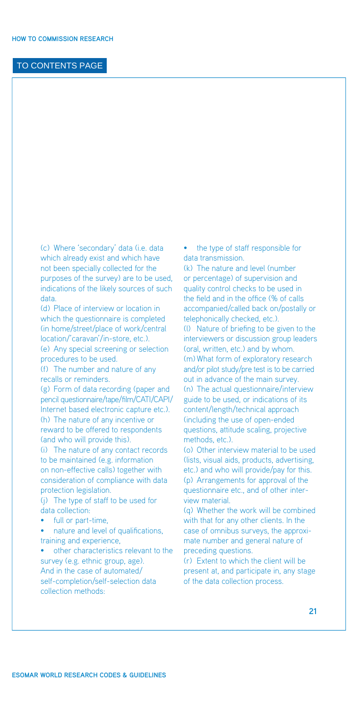(c) Where 'secondary' data (i.e. data which already exist and which have not been specially collected for the purposes of the survey) are to be used, indications of the likely sources of such data.

(d) Place of interview or location in which the questionnaire is completed (in home/street/place of work/central location/'caravan'/in-store, etc.). (e) Any special screening or selection procedures to be used.

(f) The number and nature of any recalls or reminders.

(g) Form of data recording (paper and pencil questionnaire/tape/film/CATI/CAPI/ Internet based electronic capture etc.). (h) The nature of any incentive or

reward to be offered to respondents (and who will provide this).

(i) The nature of any contact records to be maintained (e.g. information on non-effective calls) together with consideration of compliance with data protection legislation.

(j) The type of staff to be used for data collection:

• full or part-time,

• nature and level of qualifications, training and experience,

other characteristics relevant to the survey (e.g. ethnic group, age). And in the case of automated/ self-completion/self-selection data collection methods:

• the type of staff responsible for data transmission.

(k) The nature and level (number or percentage) of supervision and quality control checks to be used in the field and in the office (% of calls accompanied/called back on/postally or telephonically checked, etc.).

(l) Nature of briefing to be given to the interviewers or discussion group leaders (oral, written, etc.) and by whom. (m) What form of exploratory research and/or pilot study/pre test is to be carried out in advance of the main survey. (n) The actual questionnaire/interview guide to be used, or indications of its content/length/technical approach (including the use of open-ended questions, attitude scaling, projective methods, etc.).

(o) Other interview material to be used (lists, visual aids, products, advertising, etc.) and who will provide/pay for this. (p) Arrangements for approval of the questionnaire etc., and of other interview material.

(q) Whether the work will be combined with that for any other clients. In the case of omnibus surveys, the approximate number and general nature of preceding questions.

(r) Extent to which the client will be present at, and participate in, any stage of the data collection process.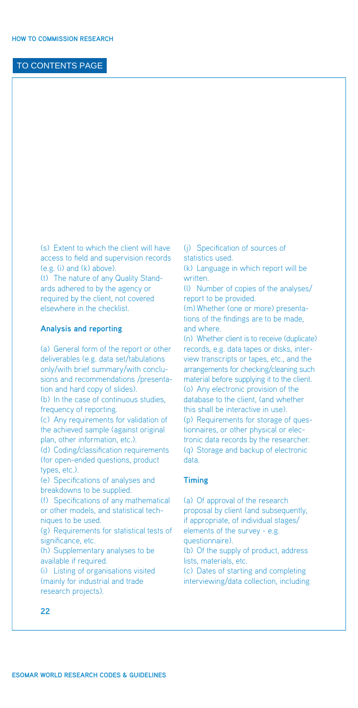<span id="page-23-0"></span>(s) Extent to which the client will have access to field and supervision records (e.g. (i) and (k) above).

(t) The nature of any Quality Standards adhered to by the agency or required by the client, not covered elsewhere in the checklist.

#### **Analysis and reporting**

(a) General form of the report or other deliverables (e.g. data set/tabulations only/with brief summary/with conclusions and recommendations /presentation and hard copy of slides). (b) In the case of continuous studies, frequency of reporting. (c) Any requirements for validation of the achieved sample (against original plan, other information, etc.). (d) Coding/classification requirements (for open-ended questions, product types, etc.). (e) Specifications of analyses and breakdowns to be supplied. (f) Specifications of any mathematical or other models, and statistical techniques to be used. (g) Requirements for statistical tests of significance, etc. (h) Supplementary analyses to be available if required. (i) Listing of organisations visited (mainly for industrial and trade

(j) Specification of sources of statistics used.

(k) Language in which report will be written.

(l) Number of copies of the analyses/ report to be provided.

(m) Whether (one or more) presentations of the findings are to be made, and where.

(n) Whether client is to receive (duplicate) records, e.g. data tapes or disks, interview transcripts or tapes, etc., and the arrangements for checking/cleaning such material before supplying it to the client. (o) Any electronic provision of the database to the client, (and whether this shall be interactive in use). (p) Requirements for storage of questionnaires, or other physical or electronic data records by the researcher. (q) Storage and backup of electronic data.

#### **Timing**

(a) Of approval of the research proposal by client (and subsequently, if appropriate, of individual stages/ elements of the survey - e.g. questionnaire). (b) Of the supply of product, address lists, materials, etc. (c) Dates of starting and completing interviewing/data collection, including

**22**

research projects).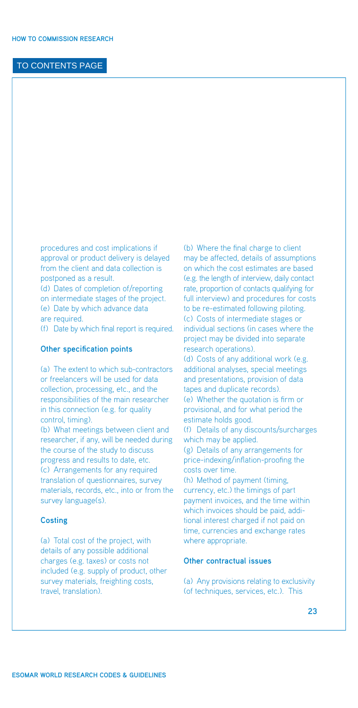<span id="page-24-0"></span>procedures and cost implications if approval or product delivery is delayed from the client and data collection is postponed as a result.

(d) Dates of completion of/reporting on intermediate stages of the project. (e) Date by which advance data are required.

(f) Date by which final report is required.

#### **Other specification points**

(a) The extent to which sub-contractors or freelancers will be used for data collection, processing, etc., and the responsibilities of the main researcher in this connection (e.g. for quality control, timing).

(b) What meetings between client and researcher, if any, will be needed during the course of the study to discuss progress and results to date, etc. (c) Arrangements for any required translation of questionnaires, survey materials, records, etc., into or from the survey language(s).

#### **Costing**

(a) Total cost of the project, with details of any possible additional charges (e.g. taxes) or costs not included (e.g. supply of product, other survey materials, freighting costs, travel, translation).

(b) Where the final charge to client may be affected, details of assumptions on which the cost estimates are based (e.g. the length of interview, daily contact rate, proportion of contacts qualifying for full interview) and procedures for costs to be re-estimated following piloting. (c) Costs of intermediate stages or individual sections (in cases where the project may be divided into separate research operations).

(d) Costs of any additional work (e.g. additional analyses, special meetings and presentations, provision of data tapes and duplicate records). (e) Whether the quotation is firm or provisional, and for what period the estimate holds good.

(f) Details of any discounts/surcharges which may be applied.

(g) Details of any arrangements for price-indexing/inflation-proofing the costs over time.

(h) Method of payment (timing, currency, etc.) the timings of part payment invoices, and the time within which invoices should be paid, additional interest charged if not paid on time, currencies and exchange rates where appropriate.

#### **Other contractual issues**

(a) Any provisions relating to exclusivity (of techniques, services, etc.). This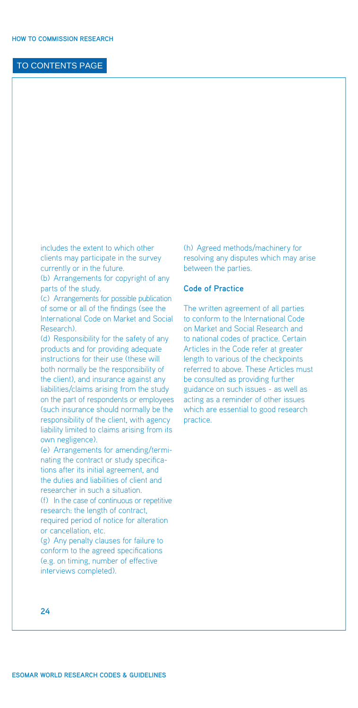<span id="page-25-0"></span>includes the extent to which other clients may participate in the survey currently or in the future.

(b) Arrangements for copyright of any parts of the study.

(c) Arrangements for possible publication of some or all of the findings (see the International Code on Market and Social Research).

(d) Responsibility for the safety of any products and for providing adequate instructions for their use (these will both normally be the responsibility of the client), and insurance against any liabilities/claims arising from the study on the part of respondents or employees (such insurance should normally be the responsibility of the client, with agency liability limited to claims arising from its own negligence).

(e) Arrangements for amending/terminating the contract or study specifications after its initial agreement, and the duties and liabilities of client and researcher in such a situation.

(f) In the case of continuous or repetitive research: the length of contract, required period of notice for alteration or cancellation, etc.

(g) Any penalty clauses for failure to conform to the agreed specifications (e.g. on timing, number of effective interviews completed).

(h) Agreed methods/machinery for resolving any disputes which may arise between the parties.

#### **Code of Practice**

The written agreement of all parties to conform to the International Code on Market and Social Research and to national codes of practice. Certain Articles in the Code refer at greater length to various of the checkpoints referred to above. These Articles must be consulted as providing further guidance on such issues - as well as acting as a reminder of other issues which are essential to good research practice.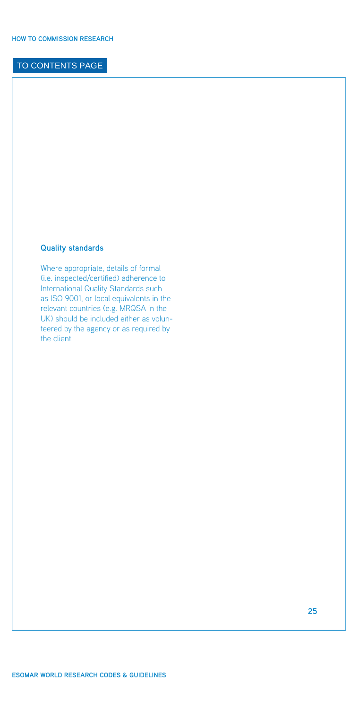#### <span id="page-26-0"></span>**Quality standards**

Where appropriate, details of formal (i.e. inspected/certified) adherence to International Quality Standards such as ISO 9001, or local equivalents in the relevant countries (e.g. MRQSA in the UK) should be included either as volunteered by the agency or as required by the client.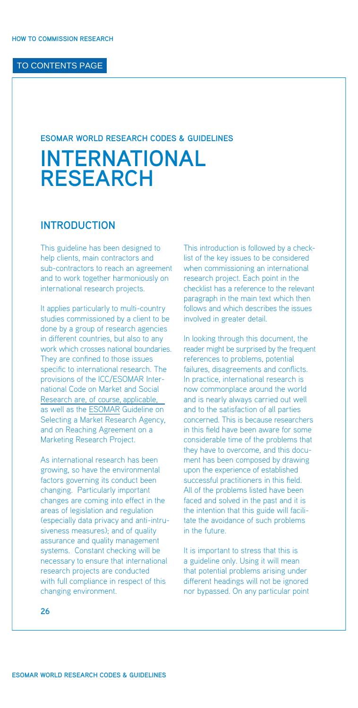#### <span id="page-27-0"></span>**ESOMAR WORLD RESEARCH CODES & GUIDELINES**

# **INTERNATIONAL RESEARCH**

# **INTRODUCTION**

This guideline has been designed to help clients, main contractors and sub-contractors to reach an agreement and to work together harmoniously on international research projects.

It applies particularly to multi-country studies commissioned by a client to be done by a group of research agencies in different countries, but also to any work which crosses national boundaries. They are confined to those issues specific to international research. The [provisions of the ICC/ESOMAR Inter](http://www.esomar.org/uploads/pdf/professional-standards/ICCESOMAR_Code_English_.pdf)national Code on Market and Social Research are, of course, applicable, as well as the [ESOMAR](http://www.esomar.org) Guideline on Selecting a Market Research Agency, and on Reaching Agreement on a Marketing Research Project.

As international research has been growing, so have the environmental factors governing its conduct been changing. Particularly important changes are coming into effect in the areas of legislation and regulation (especially data privacy and anti-intrusiveness measures); and of quality assurance and quality management systems. Constant checking will be necessary to ensure that international research projects are conducted with full compliance in respect of this changing environment.

This introduction is followed by a checklist of the key issues to be considered when commissioning an international research project. Each point in the checklist has a reference to the relevant paragraph in the main text which then follows and which describes the issues involved in greater detail.

In looking through this document, the reader might be surprised by the frequent references to problems, potential failures, disagreements and conflicts. In practice, international research is now commonplace around the world and is nearly always carried out well and to the satisfaction of all parties concerned. This is because researchers in this field have been aware for some considerable time of the problems that they have to overcome, and this document has been composed by drawing upon the experience of established successful practitioners in this field. All of the problems listed have been faced and solved in the past and it is the intention that this guide will facilitate the avoidance of such problems in the future.

It is important to stress that this is a guideline only. Using it will mean that potential problems arising under different headings will not be ignored nor bypassed. On any particular point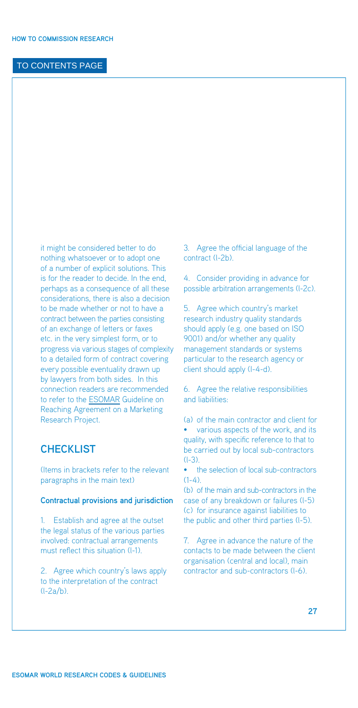<span id="page-28-0"></span>it might be considered better to do nothing whatsoever or to adopt one of a number of explicit solutions. This is for the reader to decide. In the end, perhaps as a consequence of all these considerations, there is also a decision to be made whether or not to have a contract between the parties consisting of an exchange of letters or faxes etc. in the very simplest form, or to progress via various stages of complexity to a detailed form of contract covering every possible eventuality drawn up by lawyers from both sides. In this connection readers are recommended to refer to the [ESOMAR](http://www.esomar.org) Guideline on Reaching Agreement on a Marketing Research Project.

# **CHECKLIST**

(Items in brackets refer to the relevant paragraphs in the main text)

#### **Contractual provisions and jurisdiction**

1. Establish and agree at the outset the legal status of the various parties involved: contractual arrangements must reflect this situation (l-1).

2. Agree which country's laws apply to the interpretation of the contract (l-2a/b).

3. Agree the official language of the contract (l-2b).

4. Consider providing in advance for possible arbitration arrangements (l-2c).

5. Agree which country's market research industry quality standards should apply (e.g. one based on ISO 9001) and/or whether any quality management standards or systems particular to the research agency or client should apply (I-4-d).

6. Agree the relative responsibilities and liabilities:

(a) of the main contractor and client for • various aspects of the work, and its quality, with specific reference to that to be carried out by local sub-contractors (l-3).

• the selection of local sub-contractors  $(1-4)$ .

(b) of the main and sub-contractors in the case of any breakdown or failures (l-5) (c) for insurance against liabilities to the public and other third parties (l-5).

7. Agree in advance the nature of the contacts to be made between the client organisation (central and local), main contractor and sub-contractors (l-6).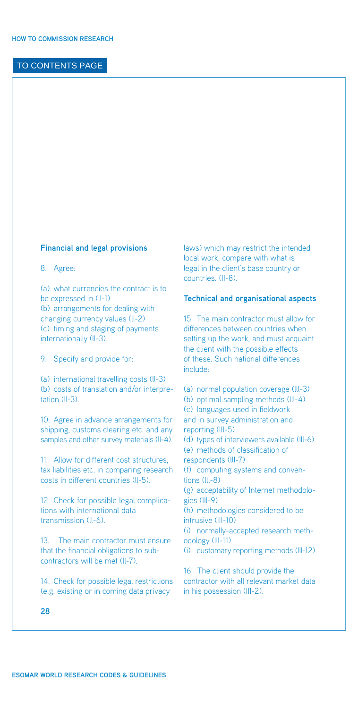#### <span id="page-29-0"></span>**Financial and legal provisions**

8. Agree:

(a) what currencies the contract is to be expressed in (ll-1) (b) arrangements for dealing with changing currency values (ll-2) (c) timing and staging of payments internationally (ll-3).

9. Specify and provide for:

(a) international travelling costs (ll-3) (b) costs of translation and/or interpretation (ll-3).

10. Agree in advance arrangements for shipping, customs clearing etc. and any samples and other survey materials (ll-4).

11. Allow for different cost structures, tax liabilities etc. in comparing research costs in different countries (ll-5).

12. Check for possible legal complications with international data transmission (ll-6).

13. The main contractor must ensure that the financial obligations to subcontractors will be met (ll-7).

14. Check for possible legal restrictions (e.g. existing or in coming data privacy

laws) which may restrict the intended local work, compare with what is legal in the client's base country or countries. (II-8).

#### **Technical and organisational aspects**

15. The main contractor must allow for differences between countries when setting up the work, and must acquaint the client with the possible effects of these. Such national differences include:

(a) normal population coverage (lll-3) (b) optimal sampling methods (lll-4) (c) languages used in fieldwork and in survey administration and reporting (lll-5) (d) types of interviewers available (lll-6) (e) methods of classification of respondents (lll-7) (f) computing systems and conventions (lll-8) (g) acceptability of Internet methodologies (III-9) (h) methodologies considered to be intrusive (III-10) (i) normally-accepted research methodology (lll-11) (i) customary reporting methods (lll-12) 16. The client should provide the contractor with all relevant market data in his possession (III-2).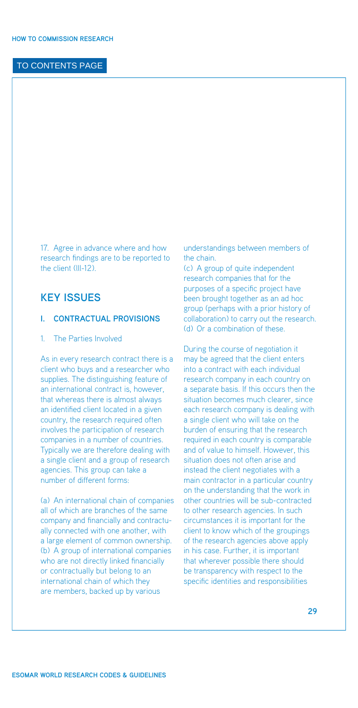<span id="page-30-0"></span>17. Agree in advance where and how research findings are to be reported to the client (lll-12).

# **KEY ISSUES**

#### **I. Contractual Provisions**

#### 1. The Parties Involved

As in every research contract there is a client who buys and a researcher who supplies. The distinguishing feature of an international contract is, however, that whereas there is almost always an identified client located in a given country, the research required often involves the participation of research companies in a number of countries. Typically we are therefore dealing with a single client and a group of research agencies. This group can take a number of different forms:

(a) An international chain of companies all of which are branches of the same company and financially and contractually connected with one another, with a large element of common ownership. (b) A group of international companies who are not directly linked financially or contractually but belong to an international chain of which they are members, backed up by various

understandings between members of the chain.

(c) A group of quite independent research companies that for the purposes of a specific project have been brought together as an ad hoc group (perhaps with a prior history of collaboration) to carry out the research. (d) Or a combination of these.

During the course of negotiation it may be agreed that the client enters into a contract with each individual research company in each country on a separate basis. If this occurs then the situation becomes much clearer, since each research company is dealing with a single client who will take on the burden of ensuring that the research required in each country is comparable and of value to himself. However, this situation does not often arise and instead the client negotiates with a main contractor in a particular country on the understanding that the work in other countries will be sub-contracted to other research agencies. In such circumstances it is important for the client to know which of the groupings of the research agencies above apply in his case. Further, it is important that wherever possible there should be transparency with respect to the specific identities and responsibilities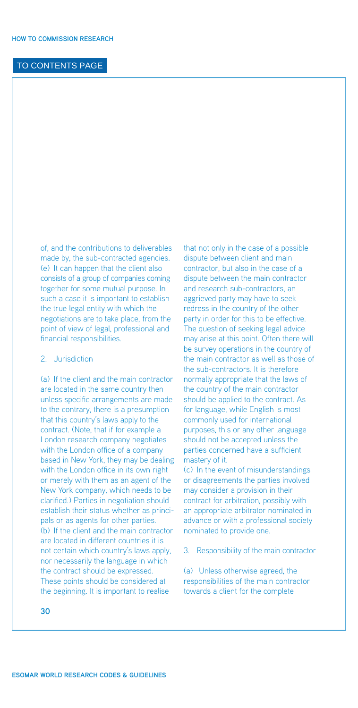<span id="page-31-0"></span>of, and the contributions to deliverables made by, the sub-contracted agencies. (e) It can happen that the client also consists of a group of companies coming together for some mutual purpose. In such a case it is important to establish the true legal entity with which the negotiations are to take place, from the point of view of legal, professional and financial responsibilities.

#### 2. Jurisdiction

(a) If the client and the main contractor are located in the same country then unless specific arrangements are made to the contrary, there is a presumption that this country's laws apply to the contract. (Note, that if for example a London research company negotiates with the London office of a company based in New York, they may be dealing with the London office in its own right or merely with them as an agent of the New York company, which needs to be clarified.) Parties in negotiation should establish their status whether as principals or as agents for other parties. (b) If the client and the main contractor are located in different countries it is not certain which country's laws apply, nor necessarily the language in which the contract should be expressed. These points should be considered at the beginning. It is important to realise

that not only in the case of a possible dispute between client and main contractor, but also in the case of a dispute between the main contractor and research sub-contractors, an aggrieved party may have to seek redress in the country of the other party in order for this to be effective. The question of seeking legal advice may arise at this point. Often there will be survey operations in the country of the main contractor as well as those of the sub-contractors. It is therefore normally appropriate that the laws of the country of the main contractor should be applied to the contract. As for language, while English is most commonly used for international purposes, this or any other language should not be accepted unless the parties concerned have a sufficient mastery of it.

(c) In the event of misunderstandings or disagreements the parties involved may consider a provision in their contract for arbitration, possibly with an appropriate arbitrator nominated in advance or with a professional society nominated to provide one.

3. Responsibility of the main contractor

(a) Unless otherwise agreed, the responsibilities of the main contractor towards a client for the complete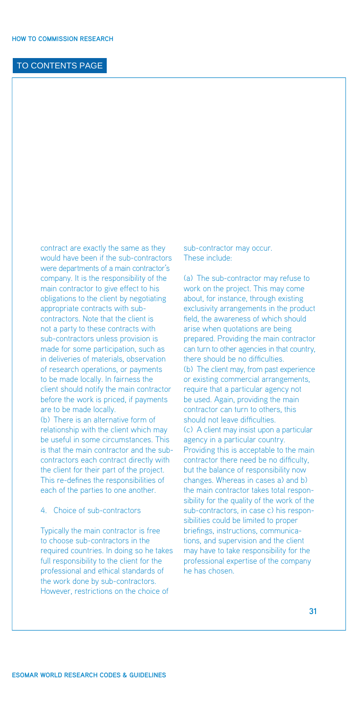<span id="page-32-0"></span>contract are exactly the same as they would have been if the sub-contractors were departments of a main contractor's company. It is the responsibility of the main contractor to give effect to his obligations to the client by negotiating appropriate contracts with subcontractors. Note that the client is not a party to these contracts with sub-contractors unless provision is made for some participation, such as in deliveries of materials, observation of research operations, or payments to be made locally. In fairness the client should notify the main contractor before the work is priced, if payments are to be made locally.

(b) There is an alternative form of relationship with the client which may be useful in some circumstances. This is that the main contractor and the subcontractors each contract directly with the client for their part of the project. This re-defines the responsibilities of each of the parties to one another.

#### 4. Choice of sub-contractors

Typically the main contractor is free to choose sub-contractors in the required countries. In doing so he takes full responsibility to the client for the professional and ethical standards of the work done by sub-contractors. However, restrictions on the choice of

sub-contractor may occur. These include:

(a) The sub-contractor may refuse to work on the project. This may come about, for instance, through existing exclusivity arrangements in the product field, the awareness of which should arise when quotations are being prepared. Providing the main contractor can turn to other agencies in that country, there should be no difficulties. (b) The client may, from past experience or existing commercial arrangements, require that a particular agency not be used. Again, providing the main contractor can turn to others, this should not leave difficulties. (c) A client may insist upon a particular agency in a particular country. Providing this is acceptable to the main contractor there need be no difficulty, but the balance of responsibility now changes. Whereas in cases a) and b) the main contractor takes total responsibility for the quality of the work of the sub-contractors, in case c) his responsibilities could be limited to proper briefings, instructions, communications, and supervision and the client may have to take responsibility for the professional expertise of the company he has chosen.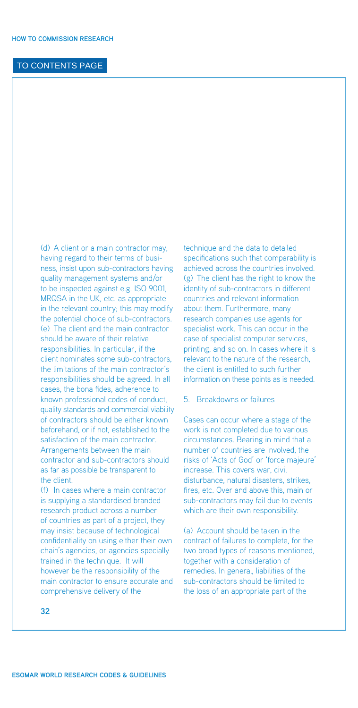<span id="page-33-0"></span>(d) A client or a main contractor may, having regard to their terms of business, insist upon sub-contractors having quality management systems and/or to be inspected against e.g. ISO 9001, MRQSA in the UK, etc. as appropriate in the relevant country; this may modify the potential choice of sub-contractors. (e) The client and the main contractor should be aware of their relative responsibilities. In particular, if the client nominates some sub-contractors, the limitations of the main contractor's responsibilities should be agreed. In all cases, the bona fides, adherence to known professional codes of conduct, quality standards and commercial viability of contractors should be either known beforehand, or if not, established to the satisfaction of the main contractor. Arrangements between the main contractor and sub-contractors should as far as possible be transparent to the client.

(f) In cases where a main contractor is supplying a standardised branded research product across a number of countries as part of a project, they may insist because of technological confidentiality on using either their own chain's agencies, or agencies specially trained in the technique. It will however be the responsibility of the main contractor to ensure accurate and comprehensive delivery of the

technique and the data to detailed specifications such that comparability is achieved across the countries involved. (g) The client has the right to know the identity of sub-contractors in different countries and relevant information about them. Furthermore, many research companies use agents for specialist work. This can occur in the case of specialist computer services, printing, and so on. In cases where it is relevant to the nature of the research, the client is entitled to such further information on these points as is needed.

#### 5. Breakdowns or failures

Cases can occur where a stage of the work is not completed due to various circumstances. Bearing in mind that a number of countries are involved, the risks of 'Acts of God' or 'force majeure' increase. This covers war, civil disturbance, natural disasters, strikes, fires, etc. Over and above this, main or sub-contractors may fail due to events which are their own responsibility.

(a) Account should be taken in the contract of failures to complete, for the two broad types of reasons mentioned, together with a consideration of remedies. In general, liabilities of the sub-contractors should be limited to the loss of an appropriate part of the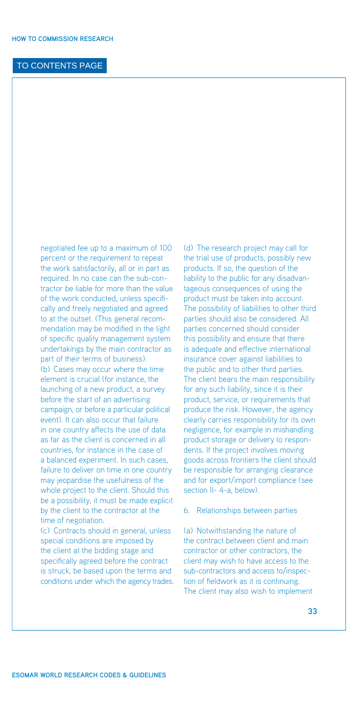<span id="page-34-0"></span>negotiated fee up to a maximum of 100 percent or the requirement to repeat the work satisfactorily, all or in part as required. In no case can the sub-contractor be liable for more than the value of the work conducted, unless specifically and freely negotiated and agreed to at the outset. (This general recommendation may be modified in the light of specific quality management system undertakings by the main contractor as part of their terms of business). (b) Cases may occur where the time element is crucial (for instance, the launching of a new product, a survey before the start of an advertising campaign, or before a particular political event). It can also occur that failure in one country affects the use of data as far as the client is concerned in all countries, for instance in the case of a balanced experiment. In such cases, failure to deliver on time in one country may jeopardise the usefulness of the whole project to the client. Should this be a possibility, it must be made explicit by the client to the contractor at the time of negotiation. (c) Contracts should in general, unless

special conditions are imposed by the client at the bidding stage and specifically agreed before the contract is struck, be based upon the terms and conditions under which the agency trades. (d) The research project may call for the trial use of products, possibly new products. If so, the question of the liability to the public for any disadvantageous consequences of using the product must be taken into account. The possibility of liabilities to other third parties should also be considered. All parties concerned should consider this possibility and ensure that there is adequate and effective international insurance cover against liabilities to the public and to other third parties. The client bears the main responsibility for any such liability, since it is their product, service, or requirements that produce the risk. However, the agency clearly carries responsibility for its own negligence, for example in mishandling product storage or delivery to respondents. If the project involves moving goods across frontiers the client should be responsible for arranging clearance and for export/import compliance (see section II- 4-a, below).

#### 6. Relationships between parties

(a) Notwithstanding the nature of the contract between client and main contractor or other contractors, the client may wish to have access to the sub-contractors and access to/inspection of fieldwork as it is continuing. The client may also wish to implement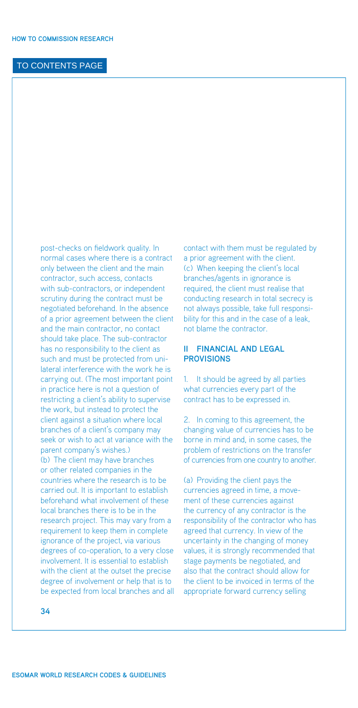<span id="page-35-0"></span>post-checks on fieldwork quality. In normal cases where there is a contract only between the client and the main contractor, such access, contacts with sub-contractors, or independent scrutiny during the contract must be negotiated beforehand. In the absence of a prior agreement between the client and the main contractor, no contact should take place. The sub-contractor has no responsibility to the client as such and must be protected from unilateral interference with the work he is carrying out. (The most important point in practice here is not a question of restricting a client's ability to supervise the work, but instead to protect the client against a situation where local branches of a client's company may seek or wish to act at variance with the parent company's wishes.) (b) The client may have branches or other related companies in the countries where the research is to be carried out. It is important to establish beforehand what involvement of these local branches there is to be in the research project. This may vary from a requirement to keep them in complete ignorance of the project, via various degrees of co-operation, to a very close involvement. It is essential to establish with the client at the outset the precise degree of involvement or help that is to be expected from local branches and all contact with them must be regulated by a prior agreement with the client. (c) When keeping the client's local branches/agents in ignorance is required, the client must realise that conducting research in total secrecy is not always possible, take full responsibility for this and in the case of a leak. not blame the contractor.

#### **II Financial and legal provisions**

1. It should be agreed by all parties what currencies every part of the contract has to be expressed in.

2. In coming to this agreement, the changing value of currencies has to be borne in mind and, in some cases, the problem of restrictions on the transfer of currencies from one country to another.

(a) Providing the client pays the currencies agreed in time, a movement of these currencies against the currency of any contractor is the responsibility of the contractor who has agreed that currency. In view of the uncertainty in the changing of money values, it is strongly recommended that stage payments be negotiated, and also that the contract should allow for the client to be invoiced in terms of the appropriate forward currency selling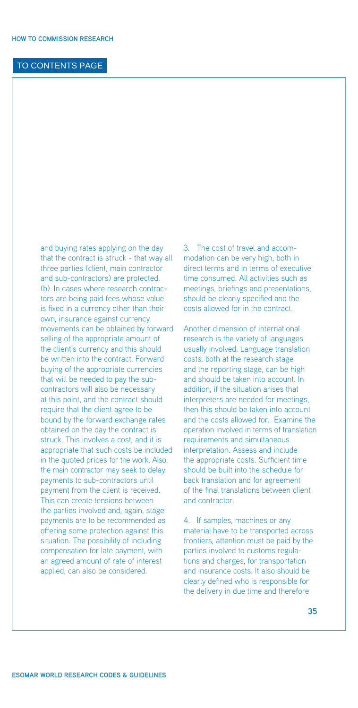and buying rates applying on the day that the contract is struck - that way all three parties (client, main contractor and sub-contractors) are protected. (b) In cases where research contractors are being paid fees whose value is fixed in a currency other than their own, insurance against currency movements can be obtained by forward selling of the appropriate amount of the client's currency and this should be written into the contract. Forward buying of the appropriate currencies that will be needed to pay the subcontractors will also be necessary at this point, and the contract should require that the client agree to be bound by the forward exchange rates obtained on the day the contract is struck. This involves a cost, and it is appropriate that such costs be included in the quoted prices for the work. Also, the main contractor may seek to delay payments to sub-contractors until payment from the client is received. This can create tensions between the parties involved and, again, stage payments are to be recommended as offering some protection against this situation. The possibility of including compensation for late payment, with an agreed amount of rate of interest applied, can also be considered.

3. The cost of travel and accommodation can be very high, both in direct terms and in terms of executive time consumed. All activities such as meetings, briefings and presentations, should be clearly specified and the costs allowed for in the contract.

Another dimension of international research is the variety of languages usually involved. Language translation costs, both at the research stage and the reporting stage, can be high and should be taken into account. In addition, if the situation arises that interpreters are needed for meetings, then this should be taken into account and the costs allowed for. Examine the operation involved in terms of translation requirements and simultaneous interpretation. Assess and include the appropriate costs. Sufficient time should be built into the schedule for back translation and for agreement of the final translations between client and contractor.

4. If samples, machines or any material have to be transported across frontiers, attention must be paid by the parties involved to customs regulations and charges, for transportation and insurance costs. It also should be clearly defined who is responsible for the delivery in due time and therefore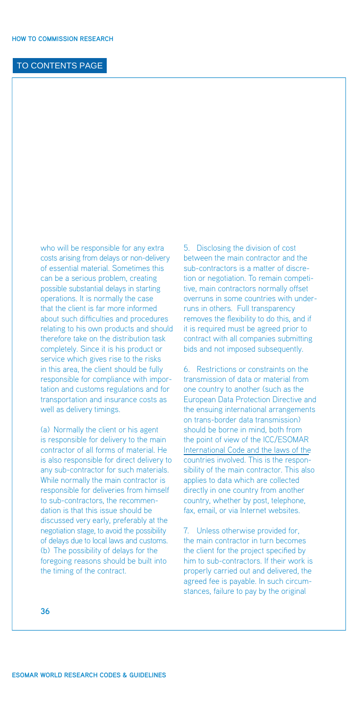who will be responsible for any extra costs arising from delays or non-delivery of essential material. Sometimes this can be a serious problem, creating possible substantial delays in starting operations. It is normally the case that the client is far more informed about such difficulties and procedures relating to his own products and should therefore take on the distribution task completely. Since it is his product or service which gives rise to the risks in this area, the client should be fully responsible for compliance with importation and customs regulations and for transportation and insurance costs as well as delivery timings.

(a) Normally the client or his agent is responsible for delivery to the main contractor of all forms of material. He is also responsible for direct delivery to any sub-contractor for such materials. While normally the main contractor is responsible for deliveries from himself to sub-contractors, the recommendation is that this issue should be discussed very early, preferably at the negotiation stage, to avoid the possibility of delays due to local laws and customs. (b) The possibility of delays for the foregoing reasons should be built into the timing of the contract.

5. Disclosing the division of cost between the main contractor and the sub-contractors is a matter of discretion or negotiation. To remain competitive, main contractors normally offset overruns in some countries with underruns in others. Full transparency removes the flexibility to do this, and if it is required must be agreed prior to contract with all companies submitting bids and not imposed subsequently.

6. Restrictions or constraints on the transmission of data or material from one country to another (such as the European Data Protection Directive and the ensuing international arrangements on trans-border data transmission) should be borne in mind, both from [the point of view of the ICC/ESOMAR](http://www.esomar.org/uploads/pdf/professional-standards/ICCESOMAR_Code_English_.pdf) International Code and the laws of the countries involved. This is the responsibility of the main contractor. This also applies to data which are collected directly in one country from another country, whether by post, telephone, fax, email, or via Internet websites.

7. Unless otherwise provided for, the main contractor in turn becomes the client for the project specified by him to sub-contractors. If their work is properly carried out and delivered, the agreed fee is payable. In such circumstances, failure to pay by the original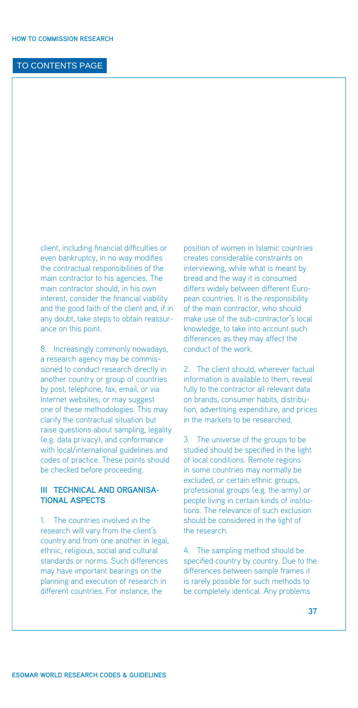<span id="page-38-0"></span>client, including financial difficulties or even bankruptcy, in no way modifies the contractual responsibilities of the main contractor to his agencies. The main contractor should, in his own interest, consider the financial viability and the good faith of the client and, if in any doubt, take steps to obtain reassurance on this point.

8. Increasingly commonly nowadays, a research agency may be commissioned to conduct research directly in another country or group of countries by post, telephone, fax, email, or via Internet websites; or may suggest one of these methodologies. This may clarify the contractual situation but raise questions about sampling, legality (e.g. data privacy), and conformance with local/international guidelines and codes of practice. These points should be checked before proceeding.

#### **III Technical and organisational aspects**

1. The countries involved in the research will vary from the client's country and from one another in legal, ethnic, religious, social and cultural standards or norms. Such differences may have important bearings on the planning and execution of research in different countries. For instance, the

position of women in Islamic countries creates considerable constraints on interviewing, while what is meant by bread and the way it is consumed differs widely between different European countries. It is the responsibility of the main contractor, who should make use of the sub-contractor's local knowledge, to take into account such differences as they may affect the conduct of the work.

2. The client should, wherever factual information is available to them, reveal fully to the contractor all relevant data on brands, consumer habits, distribution, advertising expenditure, and prices in the markets to be researched.

3. The universe of the groups to be studied should be specified in the light of local conditions. Remote regions in some countries may normally be excluded, or certain ethnic groups, professional groups (e.g. the army) or people living in certain kinds of institutions. The relevance of such exclusion should be considered in the light of the research.

4. The sampling method should be specified country by country. Due to the differences between sample frames it is rarely possible for such methods to be completely identical. Any problems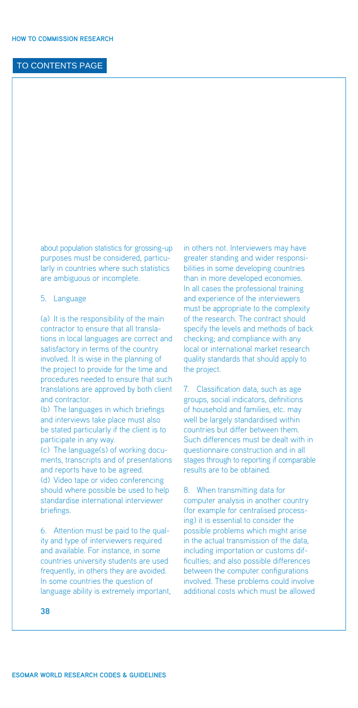about population statistics for grossing-up purposes must be considered, particularly in countries where such statistics are ambiguous or incomplete.

#### 5. Language

(a) It is the responsibility of the main contractor to ensure that all translations in local languages are correct and satisfactory in terms of the country involved. It is wise in the planning of the project to provide for the time and procedures needed to ensure that such translations are approved by both client and contractor.

(b) The languages in which briefings and interviews take place must also be stated particularly if the client is to participate in any way.

(c) The language(s) of working documents, transcripts and of presentations and reports have to be agreed. (d) Video tape or video conferencing should where possible be used to help standardise international interviewer briefings.

6. Attention must be paid to the quality and type of interviewers required and available. For instance, in some countries university students are used frequently, in others they are avoided. In some countries the question of language ability is extremely important, in others not. Interviewers may have greater standing and wider responsibilities in some developing countries than in more developed economies. In all cases the professional training and experience of the interviewers must be appropriate to the complexity of the research. The contract should specify the levels and methods of back checking; and compliance with any local or international market research quality standards that should apply to the project.

7. Classification data, such as age groups, social indicators, definitions of household and families, etc. may well be largely standardised within countries but differ between them. Such differences must be dealt with in questionnaire construction and in all stages through to reporting if comparable results are to be obtained.

8. When transmitting data for computer analysis in another country (for example for centralised processing) it is essential to consider the possible problems which might arise in the actual transmission of the data, including importation or customs difficulties; and also possible differences between the computer configurations involved. These problems could involve additional costs which must be allowed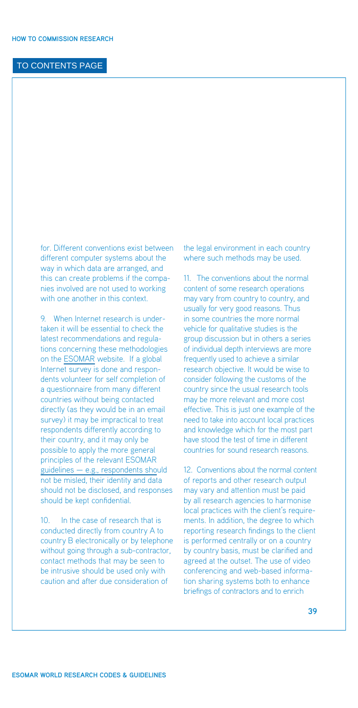for. Different conventions exist between different computer systems about the way in which data are arranged, and this can create problems if the companies involved are not used to working with one another in this context.

9. When Internet research is undertaken it will be essential to check the latest recommendations and regulations concerning these methodologies on the [ESOMAR](http://www.esomar.org) website. If a global Internet survey is done and respondents volunteer for self completion of a questionnaire from many different countries without being contacted directly (as they would be in an email survey) it may be impractical to treat respondents differently according to their country, and it may only be possible to apply the more general [principles of the relevant ESOMAR](http://www.esomar.org/index.php/codes-guidelines.html) guidelines — e.g., respondents should not be misled, their identity and data should not be disclosed, and responses should be kept confidential.

10. In the case of research that is conducted directly from country A to country B electronically or by telephone without going through a sub-contractor, contact methods that may be seen to be intrusive should be used only with caution and after due consideration of

the legal environment in each country where such methods may be used.

11. The conventions about the normal content of some research operations may vary from country to country, and usually for very good reasons. Thus in some countries the more normal vehicle for qualitative studies is the group discussion but in others a series of individual depth interviews are more frequently used to achieve a similar research objective. It would be wise to consider following the customs of the country since the usual research tools may be more relevant and more cost effective. This is just one example of the need to take into account local practices and knowledge which for the most part have stood the test of time in different countries for sound research reasons.

12. Conventions about the normal content of reports and other research output may vary and attention must be paid by all research agencies to harmonise local practices with the client's requirements. In addition, the degree to which reporting research findings to the client is performed centrally or on a country by country basis, must be clarified and agreed at the outset. The use of video conferencing and web-based information sharing systems both to enhance briefings of contractors and to enrich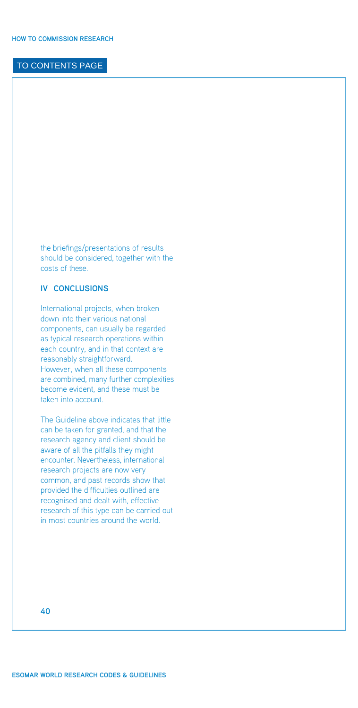<span id="page-41-0"></span>the briefings/presentations of results should be considered, together with the costs of these.

#### **IV Conclusions**

International projects, when broken down into their various national components, can usually be regarded as typical research operations within each country, and in that context are reasonably straightforward. However, when all these components are combined, many further complexities become evident, and these must be taken into account.

The Guideline above indicates that little can be taken for granted, and that the research agency and client should be aware of all the pitfalls they might encounter. Nevertheless, international research projects are now very common, and past records show that provided the difficulties outlined are recognised and dealt with, effective research of this type can be carried out in most countries around the world.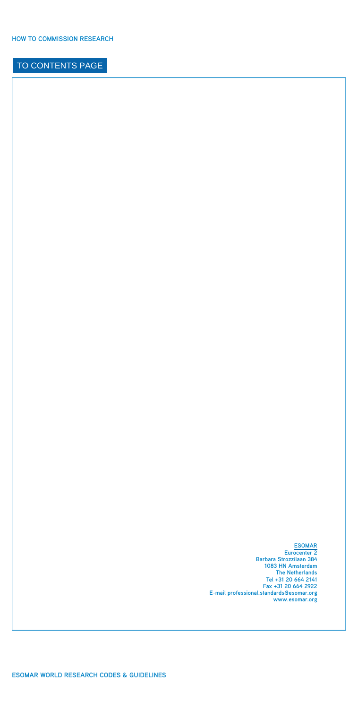**[ESOMAR](http://www.esomar.org/index.php/contact.html) Eurocenter 2 Barbara Strozzilaan 384 1083 HN Amsterdam The Netherlands Tel +31 20 664 2141 Fax +31 20 664 2922 E-mail professional.[standards@esomar.org](mailto:standards@esomar.org)  [www.esomar.org](http://www.esomar.org)**